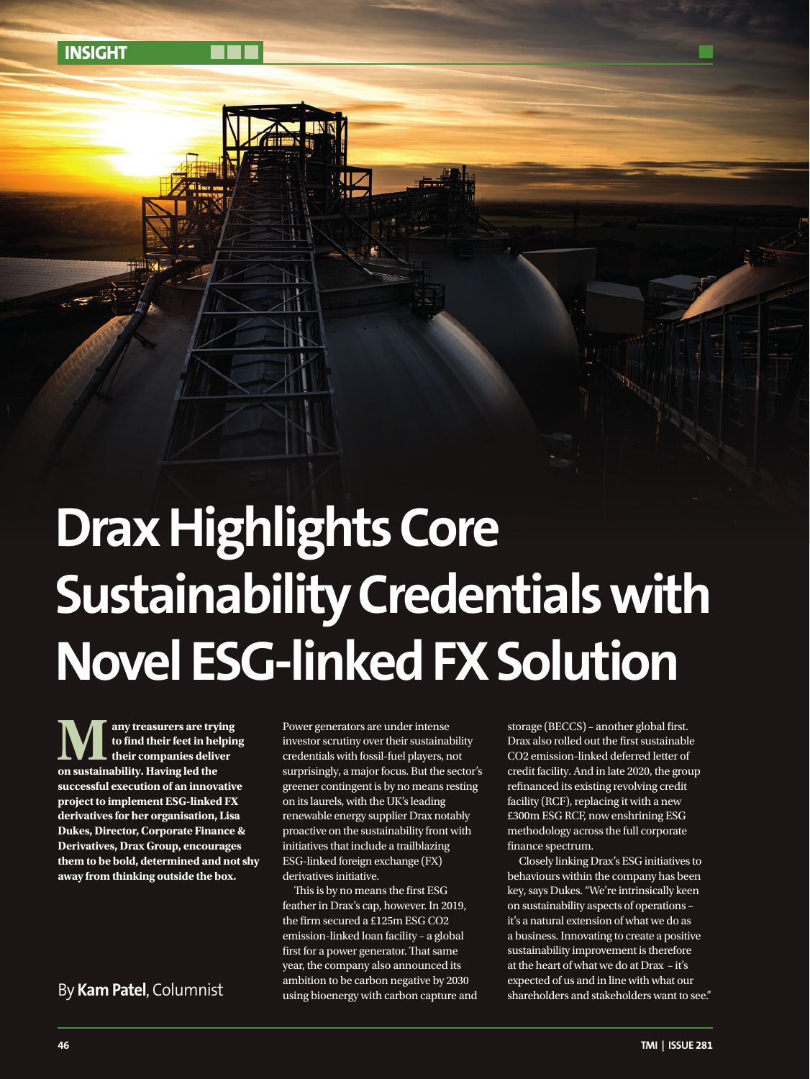**INSIGHT**

# **Drax Highlights Core Sustainability Credentials with Novel ESG-linked FX Solution**

**Many treasurers are trying on sustainability. Having led the to find their feet in helping their companies deliver successful execution of an innovative project to implement ESG-linked FX derivatives for her organisation, Lisa Dukes, Director, Corporate Finance & Derivatives, Drax Group, encourages them to be bold, determined and not shy away from thinking outside the box.**

Power generators are under intense investor scrutiny over their sustainability credentials with fossil-fuel players, not surprisingly, a major focus. But the sector's greener contingent is by no means resting on its laurels, with the UK's leading renewable energy supplier Drax notably proactive on the sustainability front with initiatives that include a trailblazing ESG-linked foreign exchange (FX) derivatives initiative.

This is by no means the first ESG feather in Drax's cap, however. In 2019, the firm secured a £125m ESG CO2 emission-linked loan facility – a global first for a power generator. That same year, the company also announced its ambition to be carbon negative by 2030 using bioenergy with carbon capture and storage (BECCS) – another global first. Drax also rolled out the first sustainable CO2 emission-linked deferred letter of credit facility. And in late 2020, the group refinanced its existing revolving credit facility (RCF), replacing it with a new £300m ESG RCF, now enshrining ESG methodology across the full corporate finance spectrum.

Closely linking Drax's ESG initiatives to behaviours within the company has been key, says Dukes. "We're intrinsically keen on sustainability aspects of operations – it's a natural extension of what we do as a business. Innovating to create a positive sustainability improvement is therefore at the heart of what we do at Drax – it's expected of us and in line with what our ambition to be carbon negative by 2030 expected of us and in line with what our shareholders want to see."<br>"By **Kam Patel**, Columnist experiment is using bioenergy with carbon captu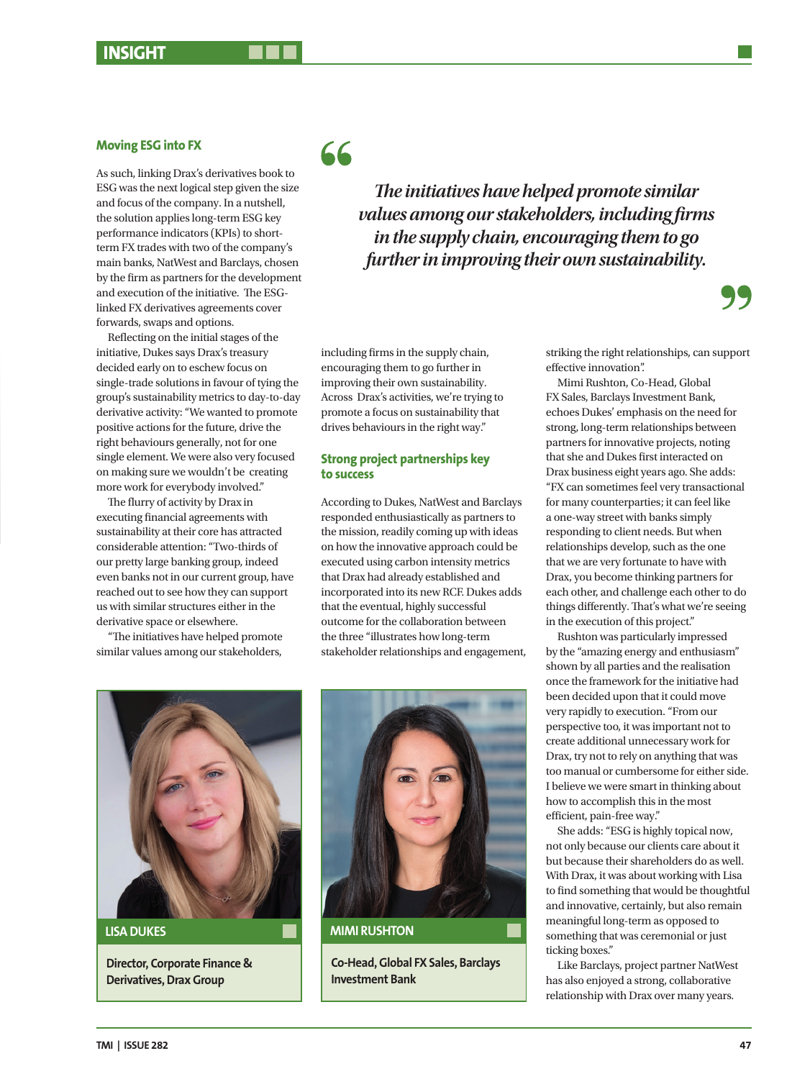## **Moving ESG into FX**

As such, linking Drax's derivatives book to ESG was the next logical step given the size and focus of the company. In a nutshell, the solution applies long-term ESG key performance indicators (KPIs) to shortterm FX trades with two of the company's main banks, NatWest and Barclays, chosen by the firm as partners for the development and execution of the initiative. The ESGlinked FX derivatives agreements cover forwards, swaps and options.

Reflecting on the initial stages of the initiative, Dukes says Drax's treasury decided early on to eschew focus on single-trade solutions in favour of tying the group's sustainability metrics to day-to-day derivative activity: "We wanted to promote positive actions for the future, drive the right behaviours generally, not for one single element. We were also very focused on making sure we wouldn't be creating more work for everybody involved."

The flurry of activity by Drax in executing financial agreements with sustainability at their core has attracted considerable attention: "Two-thirds of our pretty large banking group, indeed even banks not in our current group, have reached out to see how they can support us with similar structures either in the derivative space or elsewhere.

"The initiatives have helped promote similar values among our stakeholders,

66

*The initiatives have helped promote similar values among our stakeholders, including firms in the supply chain, encouraging them to go further in improving their own sustainability.*

including firms in the supply chain, encouraging them to go further in improving their own sustainability. Across Drax's activities, we're trying to promote a focus on sustainability that drives behaviours in the right way."

### **Strong project partnerships key to success**

According to Dukes, NatWest and Barclays responded enthusiastically as partners to the mission, readily coming up with ideas on how the innovative approach could be executed using carbon intensity metrics that Drax had already established and incorporated into its new RCF. Dukes adds that the eventual, highly successful outcome for the collaboration between the three "illustrates how long-term stakeholder relationships and engagement,



**LISA DUKES**

**Director, Corporate Finance & Derivatives, Drax Group**



**MIMI RUSHTON**

**Co-Head, Global FX Sales, Barclays Investment Bank**

striking the right relationships, can support effective innovation".

Mimi Rushton, Co-Head, Global FX Sales, Barclays Investment Bank, echoes Dukes' emphasis on the need for strong, long-term relationships between partners for innovative projects, noting that she and Dukes first interacted on Drax business eight years ago. She adds: "FX can sometimes feel very transactional for many counterparties; it can feel like a one-way street with banks simply responding to client needs. But when relationships develop, such as the one that we are very fortunate to have with Drax, you become thinking partners for each other, and challenge each other to do things differently. That's what we're seeing in the execution of this project."

Rushton was particularly impressed by the "amazing energy and enthusiasm" shown by all parties and the realisation once the framework for the initiative had been decided upon that it could move very rapidly to execution. "From our perspective too, it was important not to create additional unnecessary work for Drax, try not to rely on anything that was too manual or cumbersome for either side. I believe we were smart in thinking about how to accomplish this in the most efficient, pain-free way."

She adds: "ESG is highly topical now, not only because our clients care about it but because their shareholders do as well. With Drax, it was about working with Lisa to find something that would be thoughtful and innovative, certainly, but also remain meaningful long-term as opposed to something that was ceremonial or just ticking boxes."

Like Barclays, project partner NatWest has also enjoyed a strong, collaborative relationship with Drax over many years.